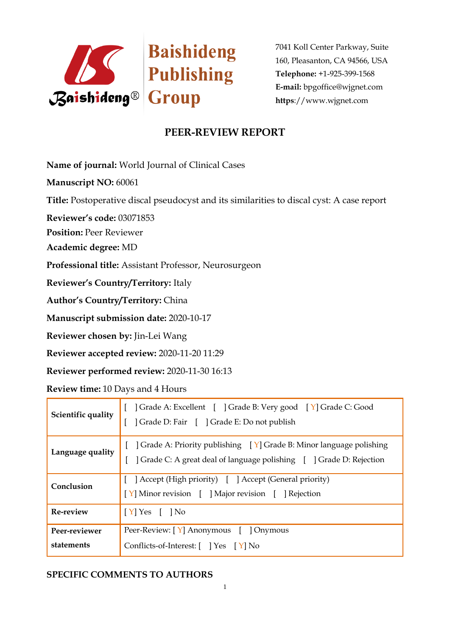

7041 Koll Center Parkway, Suite 160, Pleasanton, CA 94566, USA **Telephone:** +1-925-399-1568 **E-mail:** bpgoffice@wjgnet.com **https**://www.wjgnet.com

## **PEER-REVIEW REPORT**

**Name of journal:** World Journal of Clinical Cases

**Manuscript NO:** 60061

**Title:** Postoperative discal pseudocyst and its similarities to discal cyst: A case report

**Reviewer's code:** 03071853

**Position:** Peer Reviewer

**Academic degree:** MD

**Professional title:** Assistant Professor, Neurosurgeon

**Reviewer's Country/Territory:** Italy

**Author's Country/Territory:** China

**Manuscript submission date:** 2020-10-17

**Reviewer chosen by:** Jin-Lei Wang

**Reviewer accepted review:** 2020-11-20 11:29

**Reviewer performed review:** 2020-11-30 16:13

**Review time:** 10 Days and 4 Hours

| Scientific quality          | Grade A: Excellent [ ] Grade B: Very good [ Y] Grade C: Good<br>  Grade D: Fair   Grade E: Do not publish                                  |
|-----------------------------|--------------------------------------------------------------------------------------------------------------------------------------------|
| Language quality            | ] Grade A: Priority publishing [Y] Grade B: Minor language polishing<br>Crade C: A great deal of language polishing [ ] Grade D: Rejection |
| Conclusion                  | [ ] Accept (High priority) [ ] Accept (General priority)<br>[Y] Minor revision [ ] Major revision [ ] Rejection                            |
| <b>Re-review</b>            | $[Y]$ Yes $[$ $]$ No                                                                                                                       |
| Peer-reviewer<br>statements | Peer-Review: [Y] Anonymous [ ] Onymous<br>Conflicts-of-Interest: $[$ $]$ Yes $[$ Y $]$ No                                                  |

## **SPECIFIC COMMENTS TO AUTHORS**